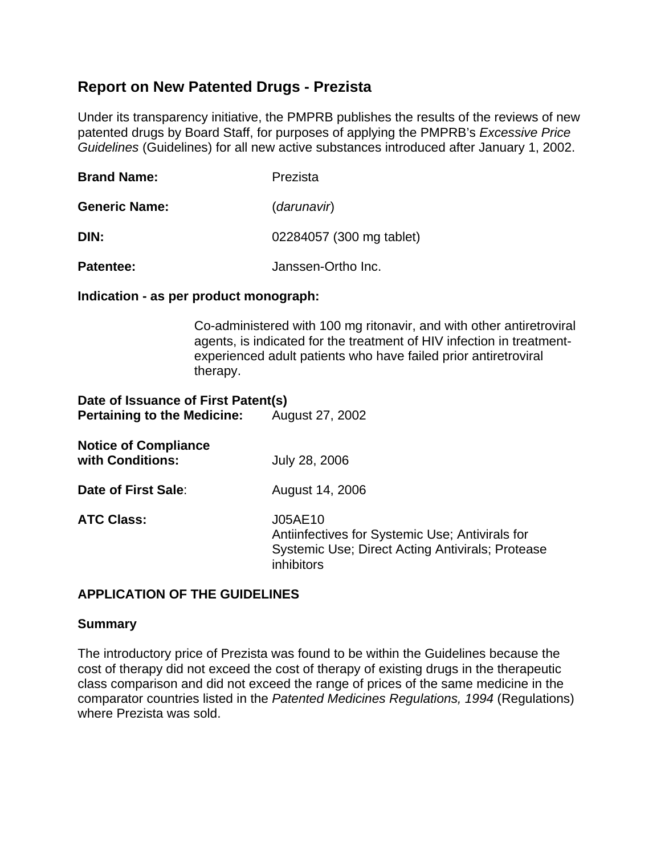## **Report on New Patented Drugs - Prezista**

Under its transparency initiative, the PMPRB publishes the results of the reviews of new patented drugs by Board Staff, for purposes of applying the PMPRB's *Excessive Price Guidelines* (Guidelines) for all new active substances introduced after January 1, 2002.

| <b>Brand Name:</b>   | Prezista                 |
|----------------------|--------------------------|
| <b>Generic Name:</b> | (darunavir)              |
| DIN:                 | 02284057 (300 mg tablet) |
|                      |                          |

**Patentee:** Janssen-Ortho Inc.

## **Indication - as per product monograph:**

Co-administered with 100 mg ritonavir, and with other antiretroviral agents, is indicated for the treatment of HIV infection in treatmentexperienced adult patients who have failed prior antiretroviral therapy.

# **Date of Issuance of First Patent(s) Pertaining to the Medicine:** August 27, 2002

| <b>Notice of Compliance</b><br>with Conditions: | July 28, 2006                                                                                                                |
|-------------------------------------------------|------------------------------------------------------------------------------------------------------------------------------|
| Date of First Sale:                             | August 14, 2006                                                                                                              |
| <b>ATC Class:</b>                               | J05AE10<br>Antiinfectives for Systemic Use; Antivirals for<br>Systemic Use; Direct Acting Antivirals; Protease<br>inhibitors |

## **APPLICATION OF THE GUIDELINES**

## **Summary**

The introductory price of Prezista was found to be within the Guidelines because the cost of therapy did not exceed the cost of therapy of existing drugs in the therapeutic class comparison and did not exceed the range of prices of the same medicine in the comparator countries listed in the *Patented Medicines Regulations, 1994* (Regulations) where Prezista was sold.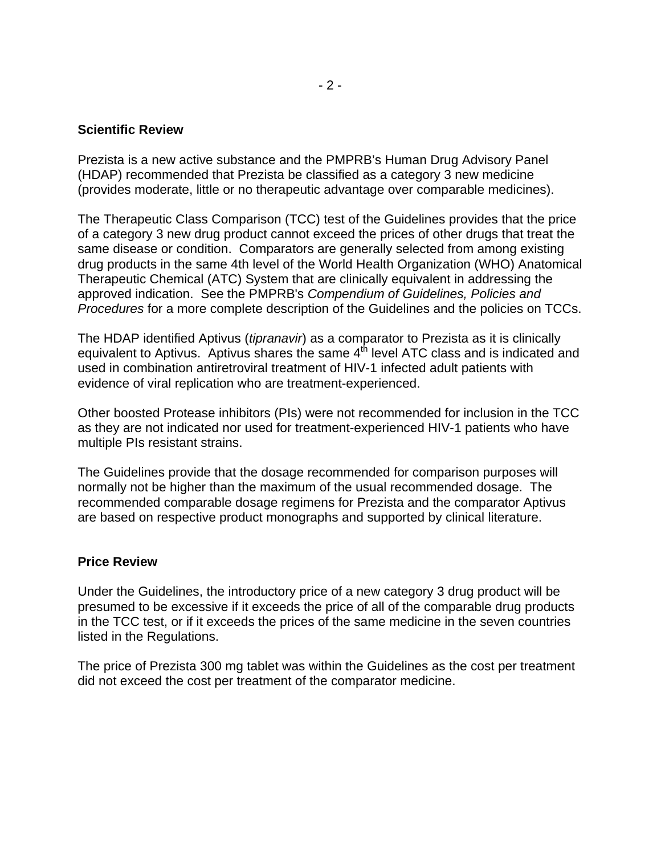#### **Scientific Review**

Prezista is a new active substance and the PMPRB's Human Drug Advisory Panel (HDAP) recommended that Prezista be classified as a category 3 new medicine (provides moderate, little or no therapeutic advantage over comparable medicines).

The Therapeutic Class Comparison (TCC) test of the Guidelines provides that the price of a category 3 new drug product cannot exceed the prices of other drugs that treat the same disease or condition. Comparators are generally selected from among existing drug products in the same 4th level of the World Health Organization (WHO) Anatomical Therapeutic Chemical (ATC) System that are clinically equivalent in addressing the approved indication. See the PMPRB's *Compendium of Guidelines, Policies and Procedures* for a more complete description of the Guidelines and the policies on TCCs.

The HDAP identified Aptivus (*tipranavir*) as a comparator to Prezista as it is clinically equivalent to Aptivus. Aptivus shares the same  $4<sup>th</sup>$  level ATC class and is indicated and used in combination antiretroviral treatment of HIV-1 infected adult patients with evidence of viral replication who are treatment-experienced.

Other boosted Protease inhibitors (PIs) were not recommended for inclusion in the TCC as they are not indicated nor used for treatment-experienced HIV-1 patients who have multiple PIs resistant strains.

The Guidelines provide that the dosage recommended for comparison purposes will normally not be higher than the maximum of the usual recommended dosage. The recommended comparable dosage regimens for Prezista and the comparator Aptivus are based on respective product monographs and supported by clinical literature.

#### **Price Review**

Under the Guidelines, the introductory price of a new category 3 drug product will be presumed to be excessive if it exceeds the price of all of the comparable drug products in the TCC test, or if it exceeds the prices of the same medicine in the seven countries listed in the Regulations.

The price of Prezista 300 mg tablet was within the Guidelines as the cost per treatment did not exceed the cost per treatment of the comparator medicine.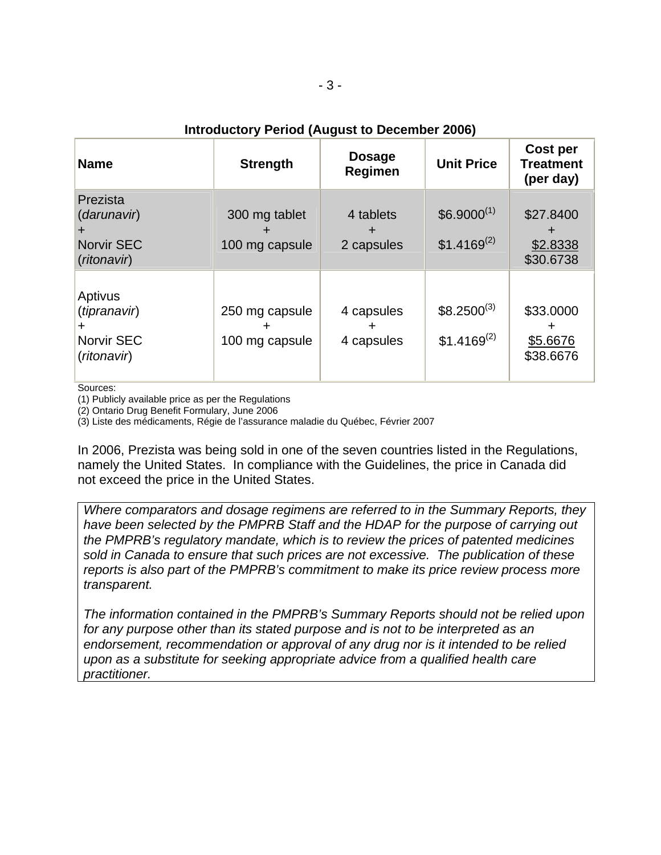## **Introductory Period (August to December 2006)**

| <b>Name</b>                                                 | <b>Strength</b>                  | <b>Dosage</b><br>Regimen | <b>Unit Price</b>                   | Cost per<br><b>Treatment</b><br>(per day) |
|-------------------------------------------------------------|----------------------------------|--------------------------|-------------------------------------|-------------------------------------------|
| Prezista<br>(darunavir)<br><b>Norvir SEC</b><br>(ritonavir) | 300 mg tablet<br>100 mg capsule  | 4 tablets<br>2 capsules  | $$6.9000^{(1)}$$<br>$$1.4169^{(2)}$ | \$27.8400<br>\$2.8338<br>\$30.6738        |
| Aptivus<br>(tipranavir)<br>Norvir SEC<br>(ritonavir)        | 250 mg capsule<br>100 mg capsule | 4 capsules<br>4 capsules | $$8.2500^{(3)}$$<br>$$1.4169^{(2)}$ | \$33.0000<br>\$5.6676<br>\$38.6676        |

Sources:

(1) Publicly available price as per the Regulations

(2) Ontario Drug Benefit Formulary, June 2006

(3) Liste des médicaments, Régie de l'assurance maladie du Québec, Février 2007

In 2006, Prezista was being sold in one of the seven countries listed in the Regulations, namely the United States. In compliance with the Guidelines, the price in Canada did not exceed the price in the United States.

*Where comparators and dosage regimens are referred to in the Summary Reports, they have been selected by the PMPRB Staff and the HDAP for the purpose of carrying out the PMPRB's regulatory mandate, which is to review the prices of patented medicines sold in Canada to ensure that such prices are not excessive. The publication of these reports is also part of the PMPRB's commitment to make its price review process more transparent.* 

*The information contained in the PMPRB's Summary Reports should not be relied upon for any purpose other than its stated purpose and is not to be interpreted as an endorsement, recommendation or approval of any drug nor is it intended to be relied upon as a substitute for seeking appropriate advice from a qualified health care practitioner.*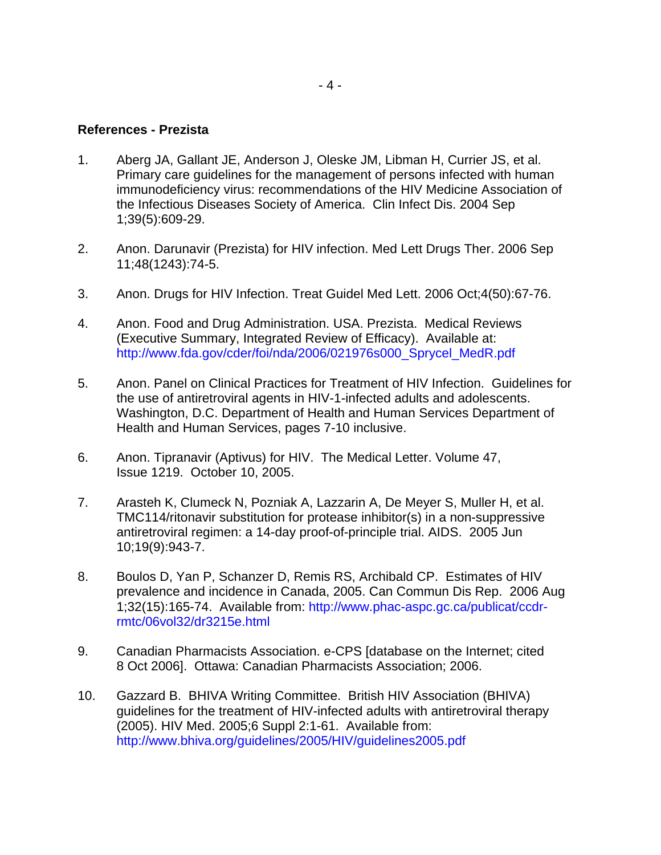#### **References - Prezista**

- 1. Aberg JA, Gallant JE, Anderson J, Oleske JM, Libman H, Currier JS, et al. Primary care guidelines for the management of persons infected with human immunodeficiency virus: recommendations of the HIV Medicine Association of the Infectious Diseases Society of America. Clin Infect Dis. 2004 Sep 1;39(5):609-29.
- 2. Anon. Darunavir (Prezista) for HIV infection. Med Lett Drugs Ther. 2006 Sep 11;48(1243):74-5.
- 3. Anon. Drugs for HIV Infection. Treat Guidel Med Lett. 2006 Oct;4(50):67-76.
- 4. Anon. Food and Drug Administration. USA. Prezista. Medical Reviews (Executive Summary, Integrated Review of Efficacy). Available at: [http://www.fda.gov/cder/foi/nda/2006/021976s000\\_Sprycel\\_MedR.pdf](http://www.fda.gov/cder/foi/nda/2006/021976s000_Sprycel_MedR.pdf)
- 5. Anon. Panel on Clinical Practices for Treatment of HIV Infection. Guidelines for the use of antiretroviral agents in HIV-1-infected adults and adolescents. Washington, D.C. Department of Health and Human Services Department of Health and Human Services, pages 7-10 inclusive.
- 6. Anon. Tipranavir (Aptivus) for HIV. The Medical Letter. Volume 47, Issue 1219. October 10, 2005.
- 7. Arasteh K, Clumeck N, Pozniak A, Lazzarin A, De Meyer S, Muller H, et al. TMC114/ritonavir substitution for protease inhibitor(s) in a non-suppressive antiretroviral regimen: a 14-day proof-of-principle trial. AIDS. 2005 Jun 10;19(9):943-7.
- 8. Boulos D, Yan P, Schanzer D, Remis RS, Archibald CP. Estimates of HIV prevalence and incidence in Canada, 2005. Can Commun Dis Rep. 2006 Aug 1;32(15):165-74. Available from: [http://www.phac-aspc.gc.ca/publicat/ccdr](http://www.phac-aspc.gc.ca/publicat/ccdr-rmtc/06vol32/dr3215e.html)[rmtc/06vol32/dr3215e.html](http://www.phac-aspc.gc.ca/publicat/ccdr-rmtc/06vol32/dr3215e.html)
- 9. Canadian Pharmacists Association. e-CPS [database on the Internet; cited 8 Oct 2006]. Ottawa: Canadian Pharmacists Association; 2006.
- 10. Gazzard B. BHIVA Writing Committee. British HIV Association (BHIVA) guidelines for the treatment of HIV-infected adults with antiretroviral therapy (2005). HIV Med. 2005;6 Suppl 2:1-61. Available from: <http://www.bhiva.org/guidelines/2005/HIV/guidelines2005.pdf>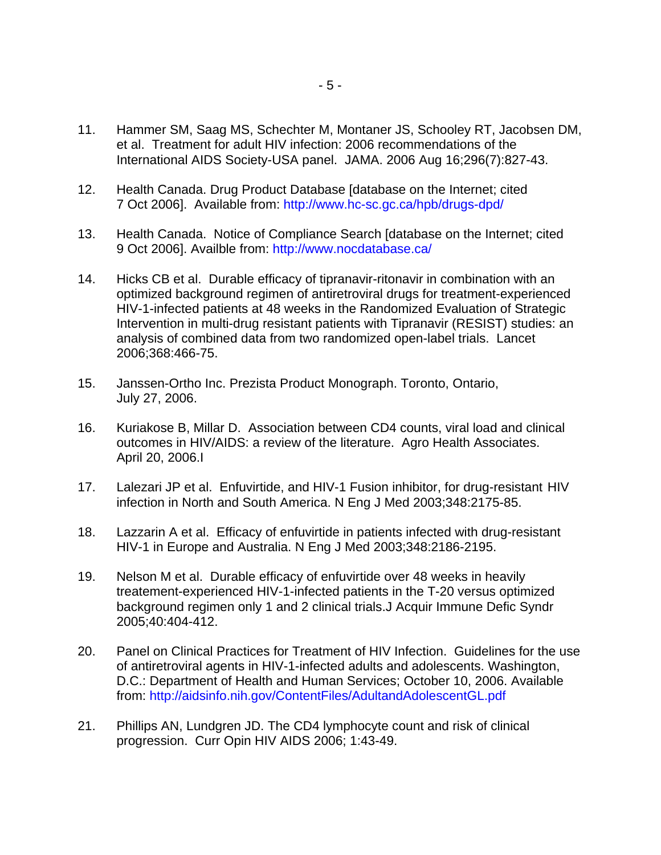- 11. Hammer SM, Saag MS, Schechter M, Montaner JS, Schooley RT, Jacobsen DM, et al. Treatment for adult HIV infection: 2006 recommendations of the International AIDS Society-USA panel. JAMA. 2006 Aug 16;296(7):827-43.
- 12. Health Canada. Drug Product Database [database on the Internet; cited 7 Oct 2006]. Available from: <http://www.hc-sc.gc.ca/hpb/drugs-dpd/>
- 13. Health Canada. Notice of Compliance Search [database on the Internet; cited 9 Oct 2006]. Availble from: <http://www.nocdatabase.ca/>
- 14. Hicks CB et al. Durable efficacy of tipranavir-ritonavir in combination with an optimized background regimen of antiretroviral drugs for treatment-experienced HIV-1-infected patients at 48 weeks in the Randomized Evaluation of Strategic Intervention in multi-drug resistant patients with Tipranavir (RESIST) studies: an analysis of combined data from two randomized open-label trials. Lancet 2006;368:466-75.
- 15. Janssen-Ortho Inc. Prezista Product Monograph. Toronto, Ontario, July 27, 2006.
- 16. Kuriakose B, Millar D. Association between CD4 counts, viral load and clinical outcomes in HIV/AIDS: a review of the literature. Agro Health Associates. April 20, 2006.I
- 17. Lalezari JP et al. Enfuvirtide, and HIV-1 Fusion inhibitor, for drug-resistant HIV infection in North and South America. N Eng J Med 2003;348:2175-85.
- 18. Lazzarin A et al. Efficacy of enfuvirtide in patients infected with drug-resistant HIV-1 in Europe and Australia. N Eng J Med 2003;348:2186-2195.
- 19. Nelson M et al. Durable efficacy of enfuvirtide over 48 weeks in heavily treatement-experienced HIV-1-infected patients in the T-20 versus optimized background regimen only 1 and 2 clinical trials.J Acquir Immune Defic Syndr 2005;40:404-412.
- 20. Panel on Clinical Practices for Treatment of HIV Infection. Guidelines for the use of antiretroviral agents in HIV-1-infected adults and adolescents. Washington, D.C.: Department of Health and Human Services; October 10, 2006. Available from: <http://aidsinfo.nih.gov/ContentFiles/AdultandAdolescentGL.pdf>
- 21. Phillips AN, Lundgren JD. The CD4 lymphocyte count and risk of clinical progression. Curr Opin HIV AIDS 2006; 1:43-49.